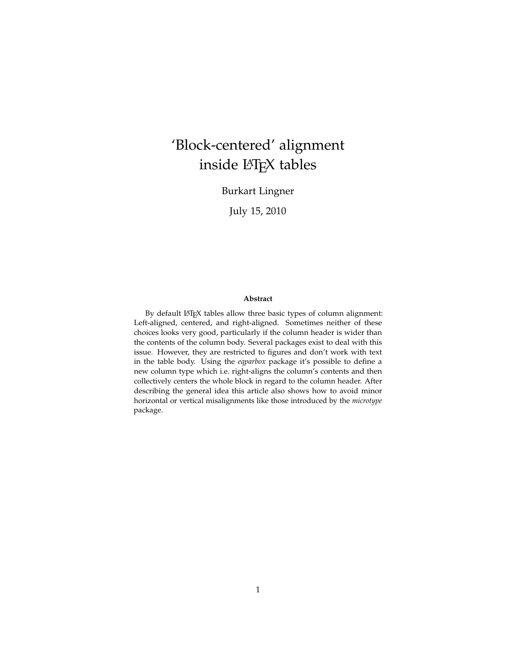# 'Block-centered' alignment inside LAT<sub>E</sub>X tables

Burkart Lingner

July 15, 2010

#### **Abstract**

By default LATEX tables allow three basic types of column alignment: Left-aligned, centered, and right-aligned. Sometimes neither of these choices looks very good, particularly if the column header is wider than the contents of the column body. Several packages exist to deal with this issue. However, they are restricted to figures and don't work with text in the table body. Using the *eqparbox* package it's possible to define a new column type which i.e. right-aligns the column's contents and then collectively centers the whole block in regard to the column header. After describing the general idea this article also shows how to avoid minor horizontal or vertical misalignments like those introduced by the *microtype* package.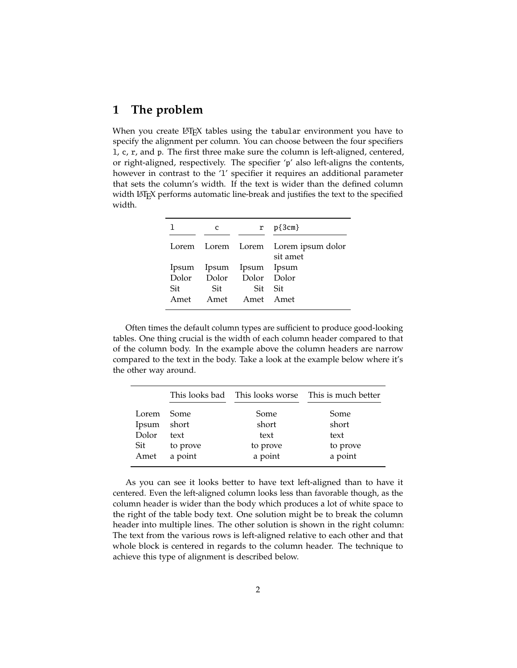# **1 The problem**

When you create LAT<sub>EX</sub> tables using the tabular environment you have to specify the alignment per column. You can choose between the four specifiers l, c, r, and p. The first three make sure the column is left-aligned, centered, or right-aligned, respectively. The specifier 'p' also left-aligns the contents, however in contrast to the 'l' specifier it requires an additional parameter that sets the column's width. If the text is wider than the defined column width LATEX performs automatic line-break and justifies the text to the specified width.

|       | C   |                         | $r p\{3cm\}$                                    |
|-------|-----|-------------------------|-------------------------------------------------|
|       |     |                         | Lorem Lorem Lorem Lorem ipsum dolor<br>sit amet |
|       |     | Ipsum Ipsum Ipsum Ipsum |                                                 |
| Dolor |     | Dolor Dolor Dolor       |                                                 |
| Sit   | Sit | Sit Sit                 |                                                 |
| Amet  |     | Amet Amet Amet          |                                                 |

Often times the default column types are sufficient to produce good-looking tables. One thing crucial is the width of each column header compared to that of the column body. In the example above the column headers are narrow compared to the text in the body. Take a look at the example below where it's the other way around.

|       |          |          | This looks bad This looks worse This is much better |
|-------|----------|----------|-----------------------------------------------------|
| Lorem | – Some   | Some     | Some                                                |
| Ipsum | short    | short    | short                                               |
| Dolor | text     | text     | text                                                |
| Sit   | to prove | to prove | to prove                                            |
| Amet  | a point  | a point  | a point                                             |

As you can see it looks better to have text left-aligned than to have it centered. Even the left-aligned column looks less than favorable though, as the column header is wider than the body which produces a lot of white space to the right of the table body text. One solution might be to break the column header into multiple lines. The other solution is shown in the right column: The text from the various rows is left-aligned relative to each other and that whole block is centered in regards to the column header. The technique to achieve this type of alignment is described below.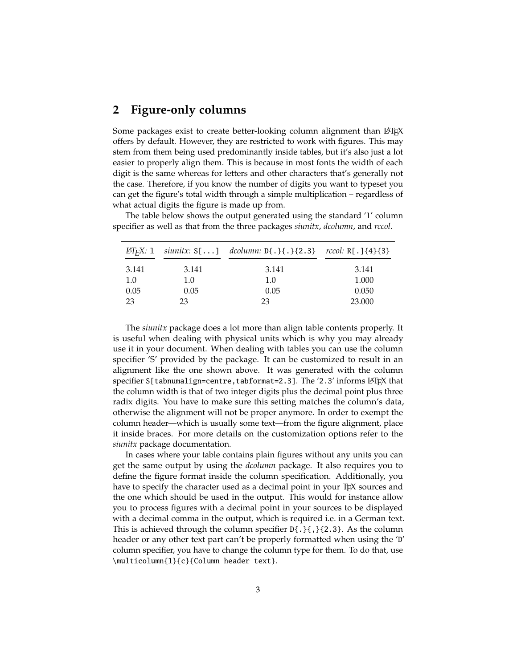### **2 Figure-only columns**

Some packages exist to create better-looking column alignment than LAT<sub>E</sub>X offers by default. However, they are restricted to work with figures. This may stem from them being used predominantly inside tables, but it's also just a lot easier to properly align them. This is because in most fonts the width of each digit is the same whereas for letters and other characters that's generally not the case. Therefore, if you know the number of digits you want to typeset you can get the figure's total width through a simple multiplication – regardless of what actual digits the figure is made up from.

The table below shows the output generated using the standard 'l' column specifier as well as that from the three packages *siunitx*, *dcolumn*, and *rccol*.

|       |       | <i>EX</i> : 1 siunitx: S[] dcolumn: D{.}{.}{2.3} rccol: R[.]{4}{3} |        |
|-------|-------|--------------------------------------------------------------------|--------|
| 3.141 | 3.141 | 3.141                                                              | 3.141  |
| 1.0   | 1.0   | 1.0                                                                | 1.000  |
| 0.05  | 0.05  | 0.05                                                               | 0.050  |
| 23    | 23    | 23                                                                 | 23,000 |

The *siunitx* package does a lot more than align table contents properly. It is useful when dealing with physical units which is why you may already use it in your document. When dealing with tables you can use the column specifier 'S' provided by the package. It can be customized to result in an alignment like the one shown above. It was generated with the column specifier S[tabnumalign=centre,tabformat=2.3]. The '2.3' informs LATEX that the column width is that of two integer digits plus the decimal point plus three radix digits. You have to make sure this setting matches the column's data, otherwise the alignment will not be proper anymore. In order to exempt the column header—which is usually some text—from the figure alignment, place it inside braces. For more details on the customization options refer to the *siunitx* package documentation.

In cases where your table contains plain figures without any units you can get the same output by using the *dcolumn* package. It also requires you to define the figure format inside the column specification. Additionally, you have to specify the character used as a decimal point in your T<sub>E</sub>X sources and the one which should be used in the output. This would for instance allow you to process figures with a decimal point in your sources to be displayed with a decimal comma in the output, which is required i.e. in a German text. This is achieved through the column specifier D{.}{,}{2.3}. As the column header or any other text part can't be properly formatted when using the 'D' column specifier, you have to change the column type for them. To do that, use \multicolumn{1}{c}{Column header text}.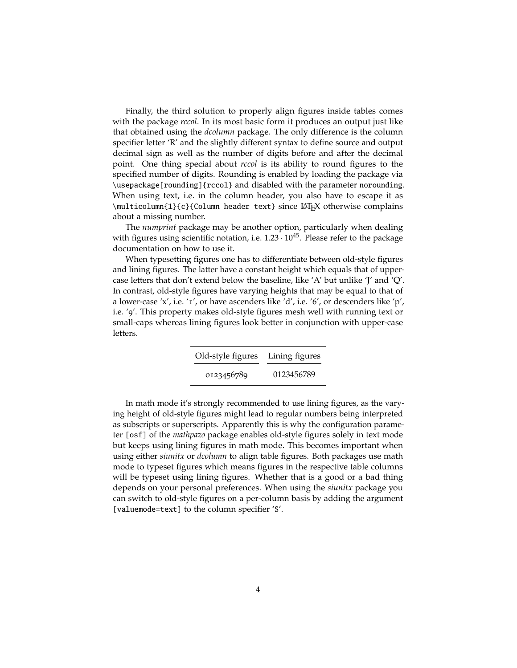Finally, the third solution to properly align figures inside tables comes with the package *rccol*. In its most basic form it produces an output just like that obtained using the *dcolumn* package. The only difference is the column specifier letter 'R' and the slightly different syntax to define source and output decimal sign as well as the number of digits before and after the decimal point. One thing special about *rccol* is its ability to round figures to the specified number of digits. Rounding is enabled by loading the package via \usepackage[rounding]{rccol} and disabled with the parameter norounding. When using text, i.e. in the column header, you also have to escape it as  $\mathcal{1}_{c}{C}$  column header text} since LATEX otherwise complains about a missing number.

The *numprint* package may be another option, particularly when dealing with figures using scientific notation, i.e.  $1.23 \cdot 10^{45}$ . Please refer to the package documentation on how to use it.

When typesetting figures one has to differentiate between old-style figures and lining figures. The latter have a constant height which equals that of uppercase letters that don't extend below the baseline, like 'A' but unlike 'J' and 'Q'. In contrast, old-style figures have varying heights that may be equal to that of a lower-case 'x', i.e. '1', or have ascenders like 'd', i.e. '6', or descenders like 'p', i.e. '9'. This property makes old-style figures mesh well with running text or small-caps whereas lining figures look better in conjunction with upper-case letters.

| Old-style figures | Lining figures |
|-------------------|----------------|
| 0123456789        | 0123456789     |

In math mode it's strongly recommended to use lining figures, as the varying height of old-style figures might lead to regular numbers being interpreted as subscripts or superscripts. Apparently this is why the configuration parameter [osf] of the *mathpazo* package enables old-style figures solely in text mode but keeps using lining figures in math mode. This becomes important when using either *siunitx* or *dcolumn* to align table figures. Both packages use math mode to typeset figures which means figures in the respective table columns will be typeset using lining figures. Whether that is a good or a bad thing depends on your personal preferences. When using the *siunitx* package you can switch to old-style figures on a per-column basis by adding the argument [valuemode=text] to the column specifier 'S'.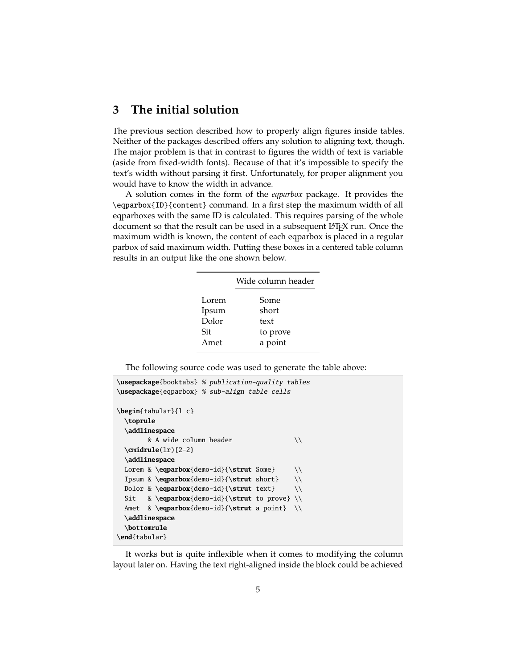# **3 The initial solution**

The previous section described how to properly align figures inside tables. Neither of the packages described offers any solution to aligning text, though. The major problem is that in contrast to figures the width of text is variable (aside from fixed-width fonts). Because of that it's impossible to specify the text's width without parsing it first. Unfortunately, for proper alignment you would have to know the width in advance.

A solution comes in the form of the *eqparbox* package. It provides the \eqparbox{ID}{content} command. In a first step the maximum width of all eqparboxes with the same ID is calculated. This requires parsing of the whole document so that the result can be used in a subsequent LATEX run. Once the maximum width is known, the content of each eqparbox is placed in a regular parbox of said maximum width. Putting these boxes in a centered table column results in an output like the one shown below.

|       | Wide column header |  |  |
|-------|--------------------|--|--|
| Lorem | Some               |  |  |
| Ipsum | short              |  |  |
| Dolor | text               |  |  |
| Sit   | to prove           |  |  |
| Amet  | a point            |  |  |
|       |                    |  |  |

The following source code was used to generate the table above:

```
\usepackage{booktabs} % publication-quality tables
\usepackage{eqparbox} % sub-align table cells
\begin{tabular}{l c}
 \toprule
 \addlinespace
       & A wide column header \setminus \setminus\cmidrule(lr){2-2}
 \addlinespace
 Lorem & \eqparbox{demo-id}{\strut Some} \\
 Ipsum & \eqparbox{demo-id}{\strut short} \\
 Dolor & \eqparbox{demo-id}{\strut text} \\
 Sit & \eqparbox{demo-id}{\strut to prove} \\
 Amet & \eqparbox{demo-id}{\strut a point} \\
 \addlinespace
 \bottomrule
\end{tabular}
```
It works but is quite inflexible when it comes to modifying the column layout later on. Having the text right-aligned inside the block could be achieved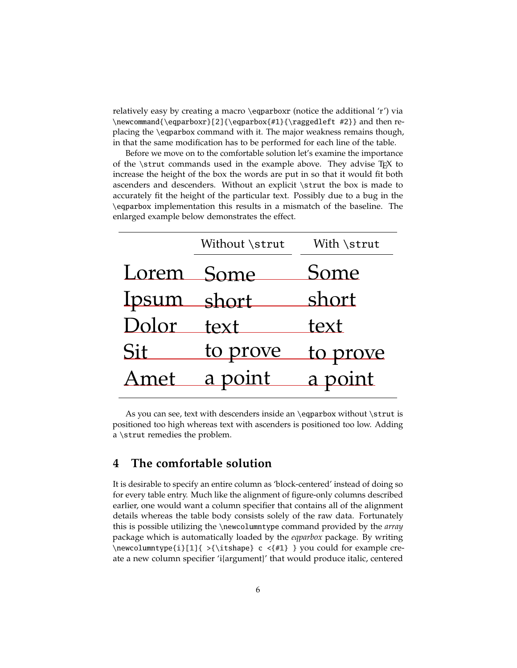relatively easy by creating a macro \eqparboxr (notice the additional 'r') via \newcommand{\eqparboxr}[2]{\eqparbox{#1}{\raggedleft #2}} and then replacing the \eqparbox command with it. The major weakness remains though, in that the same modification has to be performed for each line of the table.

Before we move on to the comfortable solution let's examine the importance of the  $\text{strut}$  commands used in the example above. They advise T<sub>E</sub>X to increase the height of the box the words are put in so that it would fit both ascenders and descenders. Without an explicit \strut the box is made to accurately fit the height of the particular text. Possibly due to a bug in the \eqparbox implementation this results in a mismatch of the baseline. The enlarged example below demonstrates the effect.

|             | Without \strut | With \strut |
|-------------|----------------|-------------|
| Lorem Some  |                | Some        |
| Ipsum short |                | short       |
| Dolor       | text           | text        |
| Sit         | to prove       | to prove    |
| Amet        | a point        | a point     |

As you can see, text with descenders inside an \eqparbox without \strut is positioned too high whereas text with ascenders is positioned too low. Adding a \strut remedies the problem.

## **4 The comfortable solution**

It is desirable to specify an entire column as 'block-centered' instead of doing so for every table entry. Much like the alignment of figure-only columns described earlier, one would want a column specifier that contains all of the alignment details whereas the table body consists solely of the raw data. Fortunately this is possible utilizing the \newcolumntype command provided by the *array* package which is automatically loaded by the *eqparbox* package. By writing \newcolumntype{i}[1]{ >{\itshape} c <{#1} } you could for example create a new column specifier 'i{argument}' that would produce italic, centered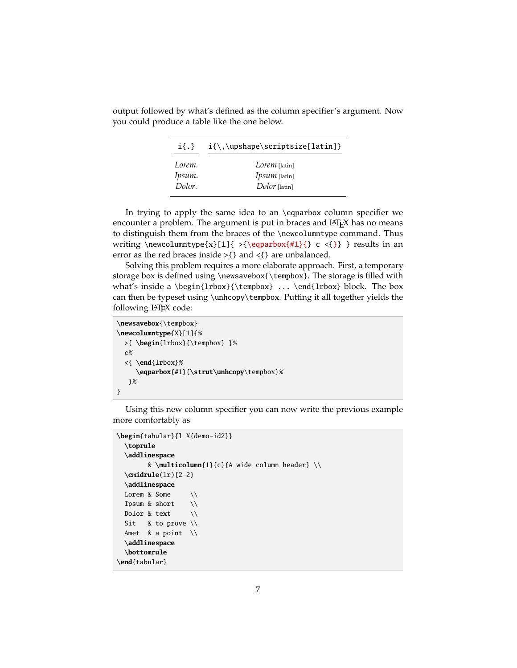| $i\{.\}$ |                      |
|----------|----------------------|
| Lorem.   | Lorem [latin]        |
| Ipsum.   | <i>Ipsum</i> [latin] |
| Dolor.   | Dolor [latin]        |

output followed by what's defined as the column specifier's argument. Now you could produce a table like the one below.

In trying to apply the same idea to an \eqparbox column specifier we encounter a problem. The argument is put in braces and LATEX has no means to distinguish them from the braces of the \newcolumntype command. Thus writing \newcolumntype{x}[1]{ >{\eqparbox{#1}{} c <{}} } results in an error as the red braces inside >{} and <{} are unbalanced.

Solving this problem requires a more elaborate approach. First, a temporary storage box is defined using \newsavebox{\tempbox}. The storage is filled with what's inside a \begin{lrbox}{\tempbox} ... \end{lrbox} block. The box can then be typeset using \unhcopy\tempbox. Putting it all together yields the following LAT<sub>E</sub>X code:

```
\newsavebox{\tempbox}
\newcolumntype{X}[1]{%
  >{ \begin{lrbox}{\tempbox} }%
  c%
  <{ \end{lrbox}%
     \eqparbox{#1}{\strut\unhcopy\tempbox}%
   }%
}
```
Using this new column specifier you can now write the previous example more comfortably as

```
\begin{tabular}{l X{demo-id2}}
  \toprule
  \addlinespace
        & \multicolumn{1}{c}{A wide column header} \\
  \cmidrule(lr){2-2}
  \addlinespace
 Lorem & Some \setminusIpsum & short \setminusDolor & text \setminusSit & to prove \setminusAmet & a point \setminus\addlinespace
  \bottomrule
\end{tabular}
```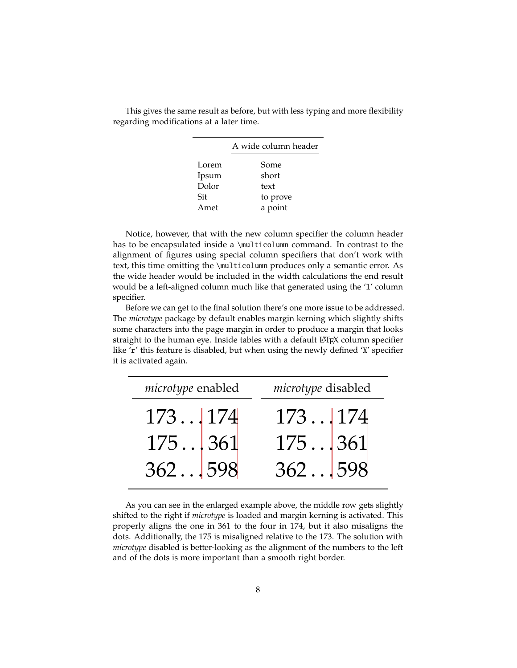|       | A wide column header |  |  |
|-------|----------------------|--|--|
| Lorem | Some                 |  |  |
| Ipsum | short                |  |  |
| Dolor | text                 |  |  |
| Sit   | to prove             |  |  |
| Amet  | a point              |  |  |

This gives the same result as before, but with less typing and more flexibility regarding modifications at a later time.

Notice, however, that with the new column specifier the column header has to be encapsulated inside a \multicolumn command. In contrast to the alignment of figures using special column specifiers that don't work with text, this time omitting the \multicolumn produces only a semantic error. As the wide header would be included in the width calculations the end result would be a left-aligned column much like that generated using the 'l' column specifier.

Before we can get to the final solution there's one more issue to be addressed. The *microtype* package by default enables margin kerning which slightly shifts some characters into the page margin in order to produce a margin that looks straight to the human eye. Inside tables with a default LATEX column specifier like 'r' this feature is disabled, but when using the newly defined 'X' specifier it is activated again.

| microtype enabled                                      | microtype disabled                                                                   |
|--------------------------------------------------------|--------------------------------------------------------------------------------------|
|                                                        |                                                                                      |
| $\begin{bmatrix} 173 & 174 \\ 175 & 361 \end{bmatrix}$ | $\begin{array}{c} 173 \dots   174 \\ 175 \dots   361 \\ 362 \dots   598 \end{array}$ |
| 362 598                                                |                                                                                      |

As you can see in the enlarged example above, the middle row gets slightly shifted to the right if *microtype* is loaded and margin kerning is activated. This properly aligns the one in 361 to the four in 174, but it also misaligns the dots. Additionally, the 175 is misaligned relative to the 173. The solution with *microtype* disabled is better-looking as the alignment of the numbers to the left and of the dots is more important than a smooth right border.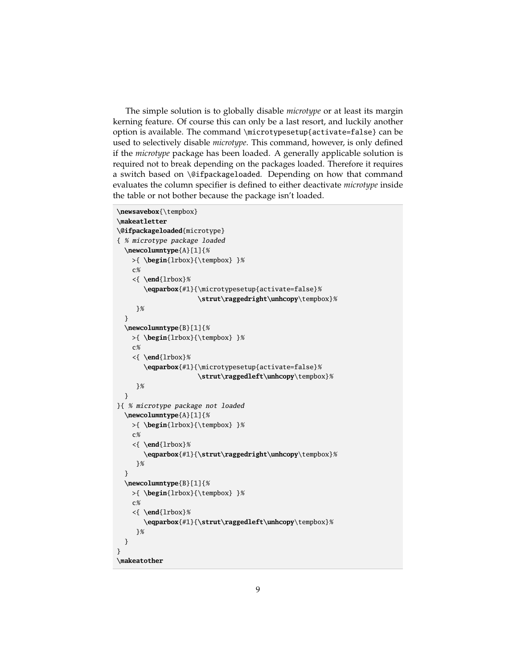The simple solution is to globally disable *microtype* or at least its margin kerning feature. Of course this can only be a last resort, and luckily another option is available. The command \microtypesetup{activate=false} can be used to selectively disable *microtype*. This command, however, is only defined if the *microtype* package has been loaded. A generally applicable solution is required not to break depending on the packages loaded. Therefore it requires a switch based on \@ifpackageloaded. Depending on how that command evaluates the column specifier is defined to either deactivate *microtype* inside the table or not bother because the package isn't loaded.

```
\newsavebox{\tempbox}
\makeatletter
\@ifpackageloaded{microtype}
{ % microtype package loaded
  \newcolumntype{A}[1]{%
   >{ \begin{lrbox}{\tempbox} }%
   c%
    <{ \end{lrbox}%
       \eqparbox{#1}{\microtypesetup{activate=false}%
                     \strut\raggedright\unhcopy\tempbox}%
    }%
  }
  \newcolumntype{B}[1]{%
   >{ \begin{lrbox}{\tempbox} }%
    c%
    <{ \end{lrbox}%
       \eqparbox{#1}{\microtypesetup{activate=false}%
                     \strut\raggedleft\unhcopy\tempbox}%
    }%
  }
}{ % microtype package not loaded
 \newcolumntype{A}[1]{%
   >{ \begin{lrbox}{\tempbox} }%
    c%
    <{ \end{lrbox}%
       \eqparbox{#1}{\strut\raggedright\unhcopy\tempbox}%
     }%
 }
  \newcolumntype{B}[1]{%
   >{ \begin{lrbox}{\tempbox} }%
   c%
    <{ \end{lrbox}%
       \eqparbox{#1}{\strut\raggedleft\unhcopy\tempbox}%
     }%
 }
}
\makeatother
```